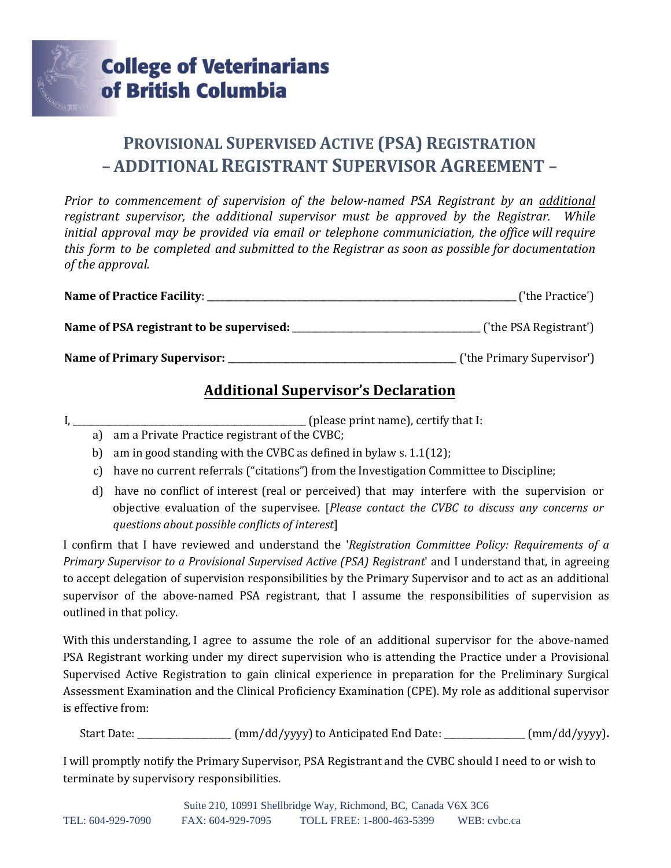

## **PROVISIONAL SUPERVISED ACTIVE (PSA) REGISTRATION – ADDITIONAL REGISTRANT SUPERVISOR AGREEMENT –**

*Prior to commencement of supervision of the below-named PSA Registrant by an additional registrant supervisor, the additional supervisor must be approved by the Registrar. While initial approval may be provided via email or telephone communiciation, the office will require this form to be completed and submitted to the Registrar as soon as possible for documentation of the approval.*

| <b>Name of Practice Facility:</b>        | ('the Practice')           |
|------------------------------------------|----------------------------|
| Name of PSA registrant to be supervised: | ('the PSA Registrant')     |
| Name of Primary Supervisor:              | ('the Primary Supervisor') |

## **Additional Supervisor's Declaration**

I, \_\_\_\_\_\_\_\_\_\_\_\_\_\_\_\_\_\_\_\_\_\_\_\_\_\_\_\_\_\_\_\_\_\_\_\_\_\_\_\_\_\_\_\_\_\_\_\_\_\_\_\_ (please print name), certify that I:

- a) am a Private Practice registrant of the CVBC;
- b) am in good standing with the CVBC as defined in bylaw s. 1.1(12);
- c) have no current referrals ("citations") from the Investigation Committee to Discipline;
- d) have no conflict of interest (real or perceived) that may interfere with the supervision or objective evaluation of the supervisee. [*Please contact the CVBC to discuss any concerns or questions about possible conflicts of interest*]

I confirm that I have reviewed and understand the '*Registration Committee Policy: Requirements of a Primary Supervisor to a Provisional Supervised Active (PSA) Registrant*' and I understand that, in agreeing to accept delegation of supervision responsibilities by the Primary Supervisor and to act as an additional supervisor of the above-named PSA registrant, that I assume the responsibilities of supervision as outlined in that policy.

With this understanding, I agree to assume the role of an additional supervisor for the above-named PSA Registrant working under my direct supervision who is attending the Practice under a Provisional Supervised Active Registration to gain clinical experience in preparation for the Preliminary Surgical Assessment Examination and the Clinical Proficiency Examination (CPE). My role as additional supervisor is effective from:

Start Date: \_\_\_\_\_\_\_\_\_\_\_\_\_\_\_\_\_\_\_\_\_ (mm/dd/yyyy) to Anticipated End Date: \_\_\_\_\_\_\_\_\_\_\_\_\_\_\_\_\_\_ (mm/dd/yyyy)**.**

I will promptly notify the Primary Supervisor, PSA Registrant and the CVBC should I need to or wish to terminate by supervisory responsibilities.